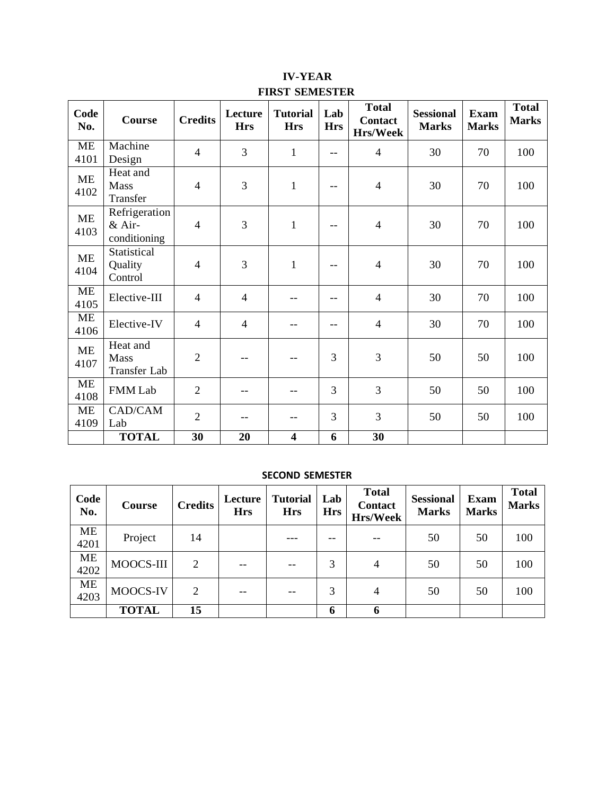# **IV-YEAR FIRST SEMESTER**

| Code<br>No.       | Course                                  | <b>Credits</b> | Lecture<br><b>Hrs</b> | <b>Tutorial</b><br><b>Hrs</b> | Lab<br><b>Hrs</b>        | <b>Total</b><br><b>Contact</b><br><b>Hrs/Week</b> | <b>Sessional</b><br><b>Marks</b> | <b>Exam</b><br><b>Marks</b> | <b>Total</b><br><b>Marks</b> |
|-------------------|-----------------------------------------|----------------|-----------------------|-------------------------------|--------------------------|---------------------------------------------------|----------------------------------|-----------------------------|------------------------------|
| <b>ME</b><br>4101 | Machine<br>Design                       | $\overline{4}$ | 3                     | $\mathbf{1}$                  | $- -$                    | $\overline{4}$                                    | 30                               | 70                          | 100                          |
| ME<br>4102        | Heat and<br>Mass<br>Transfer            | $\overline{4}$ | 3                     | $\mathbf{1}$                  | $- -$                    | $\overline{4}$                                    | 30                               | 70                          | 100                          |
| <b>ME</b><br>4103 | Refrigeration<br>& Air-<br>conditioning | $\overline{4}$ | 3                     | $\mathbf{1}$                  | $\qquad \qquad -$        | $\overline{4}$                                    | 30                               | 70                          | 100                          |
| ME<br>4104        | Statistical<br>Quality<br>Control       | $\overline{4}$ | 3                     | $\mathbf{1}$                  | $\overline{\phantom{m}}$ | $\overline{4}$                                    | 30                               | 70                          | 100                          |
| <b>ME</b><br>4105 | Elective-III                            | $\overline{4}$ | $\overline{4}$        | --                            | $\overline{\phantom{m}}$ | $\overline{4}$                                    | 30                               | 70                          | 100                          |
| <b>ME</b><br>4106 | Elective-IV                             | $\overline{4}$ | $\overline{4}$        | --                            | --                       | $\overline{4}$                                    | 30                               | 70                          | 100                          |
| <b>ME</b><br>4107 | Heat and<br>Mass<br>Transfer Lab        | $\overline{2}$ |                       | $-$                           | 3                        | 3                                                 | 50                               | 50                          | 100                          |
| <b>ME</b><br>4108 | <b>FMM Lab</b>                          | $\overline{2}$ |                       | --                            | 3                        | 3                                                 | 50                               | 50                          | 100                          |
| <b>ME</b><br>4109 | CAD/CAM<br>Lab                          | $\overline{2}$ |                       | --                            | 3                        | 3                                                 | 50                               | 50                          | 100                          |
|                   | <b>TOTAL</b>                            | 30             | 20                    | $\overline{\mathbf{4}}$       | 6                        | 30                                                |                                  |                             |                              |

### **SECOND SEMESTER**

| Code<br>No.       | Course       | <b>Credits</b> | Lecture<br><b>Hrs</b> | <b>Tutorial</b><br><b>Hrs</b> | Lab<br><b>Hrs</b> | <b>Total</b><br><b>Contact</b><br>Hrs/Week | <b>Sessional</b><br><b>Marks</b> | <b>Exam</b><br><b>Marks</b> | <b>Total</b><br><b>Marks</b> |
|-------------------|--------------|----------------|-----------------------|-------------------------------|-------------------|--------------------------------------------|----------------------------------|-----------------------------|------------------------------|
| <b>ME</b><br>4201 | Project      | 14             |                       |                               |                   |                                            | 50                               | 50                          | 100                          |
| <b>ME</b><br>4202 | MOOCS-III    | 2              | --                    |                               | 3                 | 4                                          | 50                               | 50                          | 100                          |
| <b>ME</b><br>4203 | MOOCS-IV     | 2              | $-$                   |                               | 3                 | 4                                          | 50                               | 50                          | 100                          |
|                   | <b>TOTAL</b> | 15             |                       |                               | 6                 | 6                                          |                                  |                             |                              |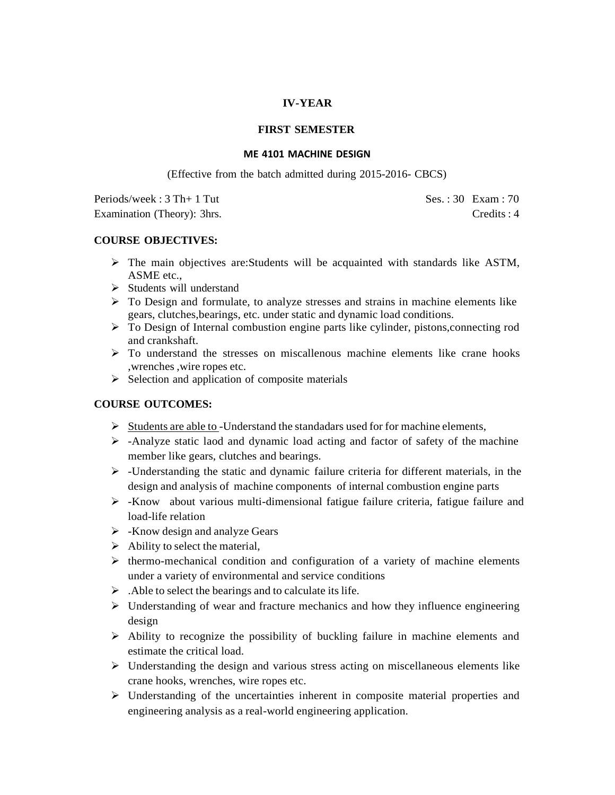### **IV-YEAR**

### **FIRST SEMESTER**

#### **ME 4101 MACHINE DESIGN**

(Effective from the batch admitted during 2015-2016- CBCS)

 $Periods/week: 3 Th + 1 Tut$   $Ses.: 30 Exam: 70$ Examination (Theory): 3hrs. Credits : 4

### **COURSE OBJECTIVES:**

- $\triangleright$  The main objectives are: Students will be acquainted with standards like ASTM, ASME etc.,
- ➢ Students will understand
- $\triangleright$  To Design and formulate, to analyze stresses and strains in machine elements like gears, clutches,bearings, etc. under static and dynamic load conditions.
- $\triangleright$  To Design of Internal combustion engine parts like cylinder, pistons, connecting rod and crankshaft.
- $\triangleright$  To understand the stresses on miscallenous machine elements like crane hooks ,wrenches ,wire ropes etc.
- $\triangleright$  Selection and application of composite materials

## **COURSE OUTCOMES:**

- $\triangleright$  Students are able to -Understand the standadars used for for machine elements,
- ➢ -Analyze static laod and dynamic load acting and factor of safety of the machine member like gears, clutches and bearings.
- $\triangleright$  -Understanding the static and dynamic failure criteria for different materials, in the design and analysis of machine components of internal combustion engine parts
- ➢ -Know about various multi-dimensional fatigue failure criteria, fatigue failure and load-life relation
- $\triangleright$  -Know design and analyze Gears
- $\triangleright$  Ability to select the material,
- $\triangleright$  thermo-mechanical condition and configuration of a variety of machine elements under a variety of environmental and service conditions
- ➢ .Able to select the bearings and to calculate its life.
- $\triangleright$  Understanding of wear and fracture mechanics and how they influence engineering design
- $\triangleright$  Ability to recognize the possibility of buckling failure in machine elements and estimate the critical load.
- $\triangleright$  Understanding the design and various stress acting on miscellaneous elements like crane hooks, wrenches, wire ropes etc.
- ➢ Understanding of the uncertainties inherent in composite material properties and engineering analysis as a real-world engineering application.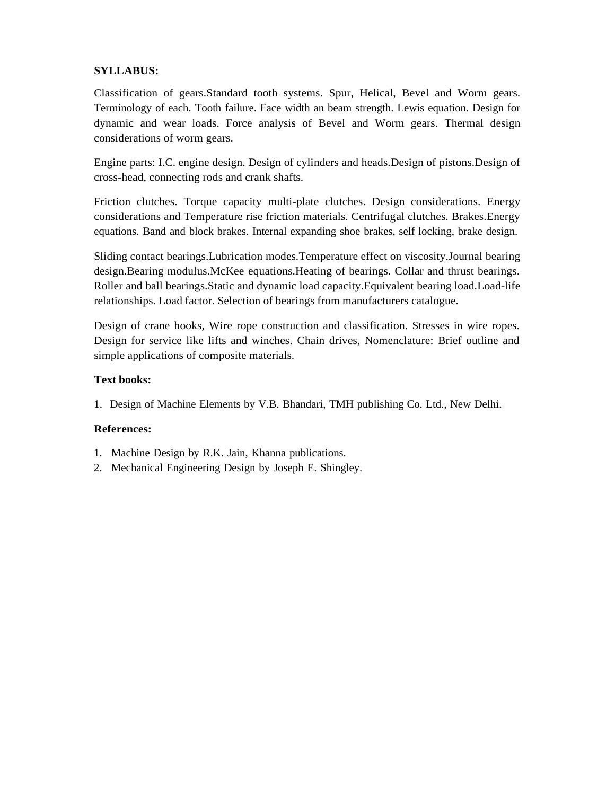## **SYLLABUS:**

Classification of gears.Standard tooth systems. Spur, Helical, Bevel and Worm gears. Terminology of each. Tooth failure. Face width an beam strength. Lewis equation. Design for dynamic and wear loads. Force analysis of Bevel and Worm gears. Thermal design considerations of worm gears.

Engine parts: I.C. engine design. Design of cylinders and heads.Design of pistons.Design of cross-head, connecting rods and crank shafts.

Friction clutches. Torque capacity multi-plate clutches. Design considerations. Energy considerations and Temperature rise friction materials. Centrifugal clutches. Brakes.Energy equations. Band and block brakes. Internal expanding shoe brakes, self locking, brake design.

Sliding contact bearings.Lubrication modes.Temperature effect on viscosity.Journal bearing design.Bearing modulus.McKee equations.Heating of bearings. Collar and thrust bearings. Roller and ball bearings.Static and dynamic load capacity.Equivalent bearing load.Load-life relationships. Load factor. Selection of bearings from manufacturers catalogue.

Design of crane hooks, Wire rope construction and classification. Stresses in wire ropes. Design for service like lifts and winches. Chain drives, Nomenclature: Brief outline and simple applications of composite materials.

## **Text books:**

1. Design of Machine Elements by V.B. Bhandari, TMH publishing Co. Ltd., New Delhi.

- 1. Machine Design by R.K. Jain, Khanna publications.
- 2. Mechanical Engineering Design by Joseph E. Shingley.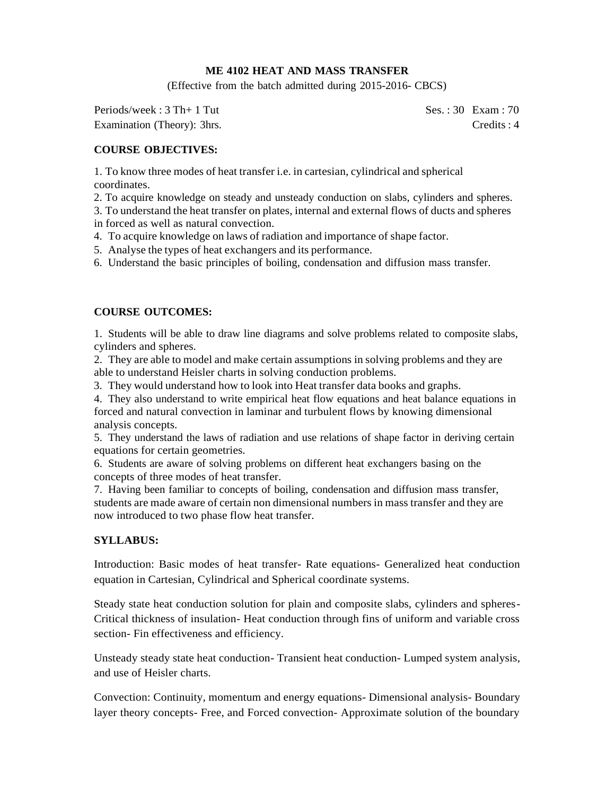### **ME 4102 HEAT AND MASS TRANSFER**

(Effective from the batch admitted during 2015-2016- CBCS)

Periods/week : 3 Th+ 1 Tut Ses. : 30 Exam : 70 Examination (Theory): 3hrs. Credits : 4

## **COURSE OBJECTIVES:**

1. To know three modes of heat transfer i.e. in cartesian, cylindrical and spherical coordinates.

2. To acquire knowledge on steady and unsteady conduction on slabs, cylinders and spheres.

3. To understand the heat transfer on plates, internal and external flows of ducts and spheres in forced as well as natural convection.

4. To acquire knowledge on laws of radiation and importance of shape factor.

5. Analyse the types of heat exchangers and its performance.

6. Understand the basic principles of boiling, condensation and diffusion mass transfer.

## **COURSE OUTCOMES:**

1. Students will be able to draw line diagrams and solve problems related to composite slabs, cylinders and spheres.

2. They are able to model and make certain assumptions in solving problems and they are able to understand Heisler charts in solving conduction problems.

3. They would understand how to look into Heat transfer data books and graphs.

4. They also understand to write empirical heat flow equations and heat balance equations in forced and natural convection in laminar and turbulent flows by knowing dimensional analysis concepts.

5. They understand the laws of radiation and use relations of shape factor in deriving certain equations for certain geometries.

6. Students are aware of solving problems on different heat exchangers basing on the concepts of three modes of heat transfer.

7. Having been familiar to concepts of boiling, condensation and diffusion mass transfer, students are made aware of certain non dimensional numbers in mass transfer and they are now introduced to two phase flow heat transfer.

### **SYLLABUS:**

Introduction: Basic modes of heat transfer- Rate equations- Generalized heat conduction equation in Cartesian, Cylindrical and Spherical coordinate systems.

Steady state heat conduction solution for plain and composite slabs, cylinders and spheres-Critical thickness of insulation- Heat conduction through fins of uniform and variable cross section- Fin effectiveness and efficiency.

Unsteady steady state heat conduction- Transient heat conduction- Lumped system analysis, and use of Heisler charts.

Convection: Continuity, momentum and energy equations- Dimensional analysis- Boundary layer theory concepts- Free, and Forced convection- Approximate solution of the boundary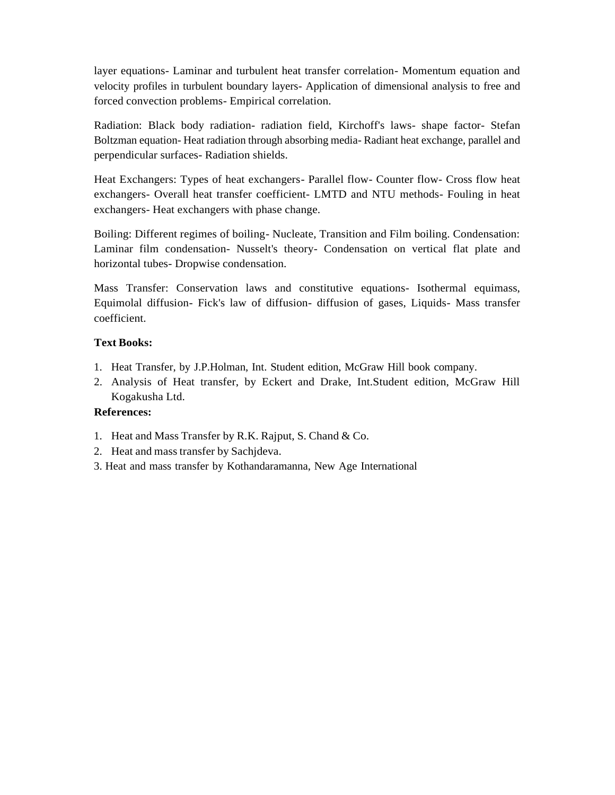layer equations- Laminar and turbulent heat transfer correlation- Momentum equation and velocity profiles in turbulent boundary layers- Application of dimensional analysis to free and forced convection problems- Empirical correlation.

Radiation: Black body radiation- radiation field, Kirchoff's laws- shape factor- Stefan Boltzman equation- Heat radiation through absorbing media- Radiant heat exchange, parallel and perpendicular surfaces- Radiation shields.

Heat Exchangers: Types of heat exchangers- Parallel flow- Counter flow- Cross flow heat exchangers- Overall heat transfer coefficient- LMTD and NTU methods- Fouling in heat exchangers- Heat exchangers with phase change.

Boiling: Different regimes of boiling- Nucleate, Transition and Film boiling. Condensation: Laminar film condensation- Nusselt's theory- Condensation on vertical flat plate and horizontal tubes- Dropwise condensation.

Mass Transfer: Conservation laws and constitutive equations- Isothermal equimass, Equimolal diffusion- Fick's law of diffusion- diffusion of gases, Liquids- Mass transfer coefficient.

## **Text Books:**

- 1. Heat Transfer, by J.P.Holman, Int. Student edition, McGraw Hill book company.
- 2. Analysis of Heat transfer, by Eckert and Drake, Int.Student edition, McGraw Hill Kogakusha Ltd.

- 1. Heat and Mass Transfer by R.K. Rajput, S. Chand & Co.
- 2. Heat and mass transfer by Sachjdeva.
- 3. Heat and mass transfer by Kothandaramanna, New Age International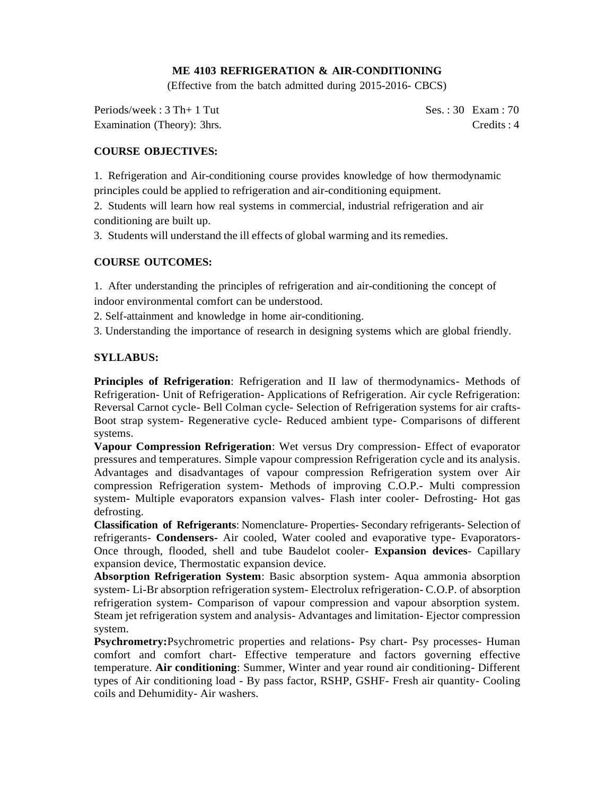## **ME 4103 REFRIGERATION & AIR-CONDITIONING**

(Effective from the batch admitted during 2015-2016- CBCS)

Periods/week : 3 Th+ 1 Tut Ses. : 30 Exam : 70 Examination (Theory): 3hrs. Credits : 4

## **COURSE OBJECTIVES:**

1. Refrigeration and Air-conditioning course provides knowledge of how thermodynamic principles could be applied to refrigeration and air-conditioning equipment.

2. Students will learn how real systems in commercial, industrial refrigeration and air conditioning are built up.

3. Students will understand the ill effects of global warming and itsremedies.

## **COURSE OUTCOMES:**

1. After understanding the principles of refrigeration and air-conditioning the concept of indoor environmental comfort can be understood.

2. Self-attainment and knowledge in home air-conditioning.

3. Understanding the importance of research in designing systems which are global friendly.

## **SYLLABUS:**

**Principles of Refrigeration**: Refrigeration and II law of thermodynamics- Methods of Refrigeration- Unit of Refrigeration- Applications of Refrigeration. Air cycle Refrigeration: Reversal Carnot cycle- Bell Colman cycle- Selection of Refrigeration systems for air crafts-Boot strap system- Regenerative cycle- Reduced ambient type- Comparisons of different systems.

**Vapour Compression Refrigeration**: Wet versus Dry compression- Effect of evaporator pressures and temperatures. Simple vapour compression Refrigeration cycle and its analysis. Advantages and disadvantages of vapour compression Refrigeration system over Air compression Refrigeration system- Methods of improving C.O.P.- Multi compression system- Multiple evaporators expansion valves- Flash inter cooler- Defrosting- Hot gas defrosting.

**Classification of Refrigerants**: Nomenclature- Properties- Secondary refrigerants- Selection of refrigerants- **Condensers-** Air cooled, Water cooled and evaporative type- Evaporators-Once through, flooded, shell and tube Baudelot cooler- **Expansion devices**- Capillary expansion device, Thermostatic expansion device.

**Absorption Refrigeration System**: Basic absorption system- Aqua ammonia absorption system- Li-Br absorption refrigeration system- Electrolux refrigeration- C.O.P. of absorption refrigeration system- Comparison of vapour compression and vapour absorption system. Steam jet refrigeration system and analysis- Advantages and limitation- Ejector compression system.

**Psychrometry:**Psychrometric properties and relations- Psy chart- Psy processes- Human comfort and comfort chart- Effective temperature and factors governing effective temperature. **Air conditioning**: Summer, Winter and year round air conditioning- Different types of Air conditioning load - By pass factor, RSHP, GSHF- Fresh air quantity- Cooling coils and Dehumidity- Air washers.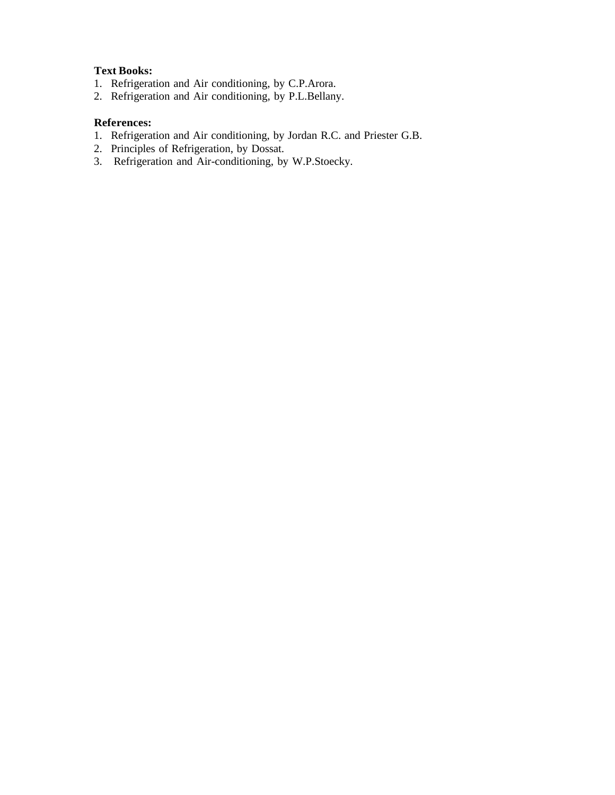## **Text Books:**

- 1. Refrigeration and Air conditioning, by C.P.Arora.
- 2. Refrigeration and Air conditioning, by P.L.Bellany.

- 1. Refrigeration and Air conditioning, by Jordan R.C. and Priester G.B.
- 2. Principles of Refrigeration, by Dossat.
- 3. Refrigeration and Air-conditioning, by W.P.Stoecky.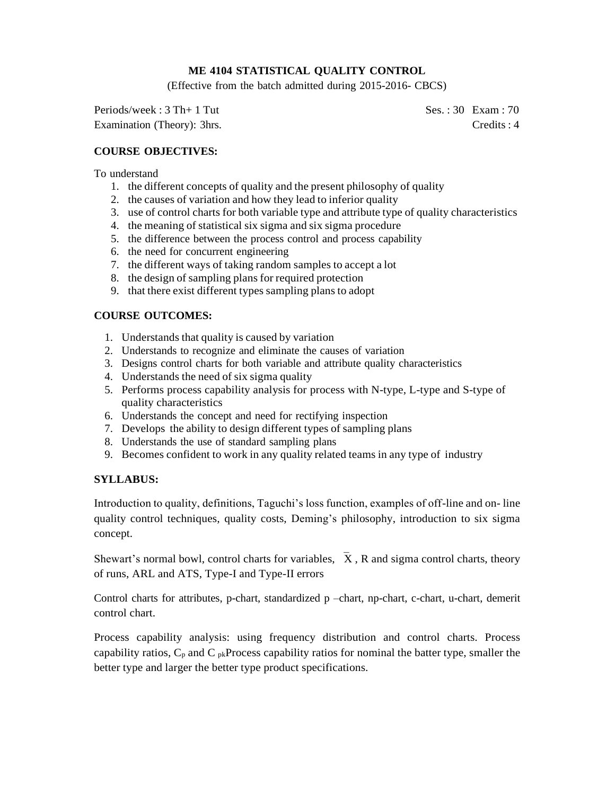## **ME 4104 STATISTICAL QUALITY CONTROL**

(Effective from the batch admitted during 2015-2016- CBCS)

Periods/week : 3 Th+ 1 Tut Ses. : 30 Exam : 70 Examination (Theory): 3hrs. Credits : 4

## **COURSE OBJECTIVES:**

### To understand

- 1. the different concepts of quality and the present philosophy of quality
- 2. the causes of variation and how they lead to inferior quality
- 3. use of control charts for both variable type and attribute type of quality characteristics
- 4. the meaning of statistical six sigma and six sigma procedure
- 5. the difference between the process control and process capability
- 6. the need for concurrent engineering
- 7. the different ways of taking random samples to accept a lot
- 8. the design of sampling plans for required protection
- 9. that there exist different types sampling plans to adopt

## **COURSE OUTCOMES:**

- 1. Understands that quality is caused by variation
- 2. Understands to recognize and eliminate the causes of variation
- 3. Designs control charts for both variable and attribute quality characteristics
- 4. Understands the need of six sigma quality
- 5. Performs process capability analysis for process with N-type, L-type and S-type of quality characteristics
- 6. Understands the concept and need for rectifying inspection
- 7. Develops the ability to design different types of sampling plans
- 8. Understands the use of standard sampling plans
- 9. Becomes confident to work in any quality related teams in any type of industry

### **SYLLABUS:**

Introduction to quality, definitions, Taguchi's loss function, examples of off-line and on- line quality control techniques, quality costs, Deming's philosophy, introduction to six sigma concept.

Shewart's normal bowl, control charts for variables,  $\bar{X}$ , R and sigma control charts, theory of runs, ARL and ATS, Type-I and Type-II errors

Control charts for attributes, p-chart, standardized p –chart, np-chart, c-chart, u-chart, demerit control chart.

Process capability analysis: using frequency distribution and control charts. Process capability ratios,  $C_p$  and  $C_{pk}$ Process capability ratios for nominal the batter type, smaller the better type and larger the better type product specifications.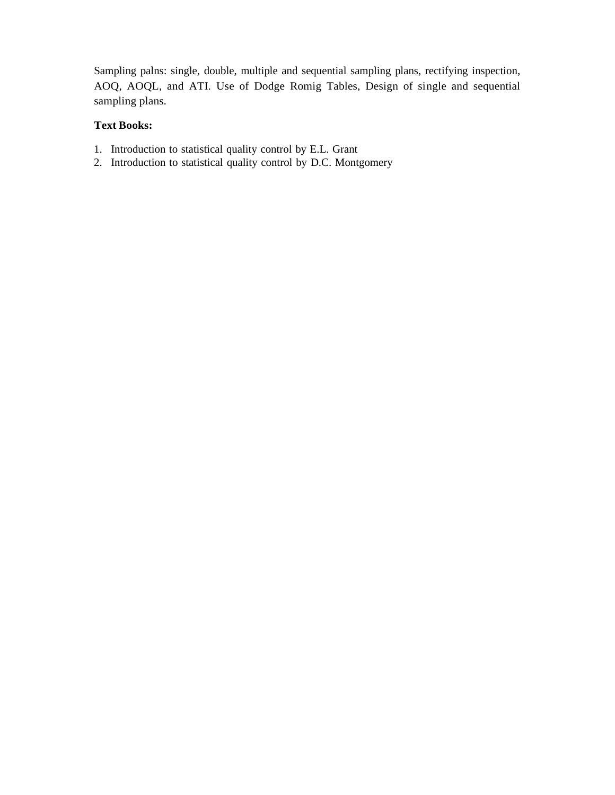Sampling palns: single, double, multiple and sequential sampling plans, rectifying inspection, AOQ, AOQL, and ATI. Use of Dodge Romig Tables, Design of single and sequential sampling plans.

# **Text Books:**

- 1. Introduction to statistical quality control by E.L. Grant
- 2. Introduction to statistical quality control by D.C. Montgomery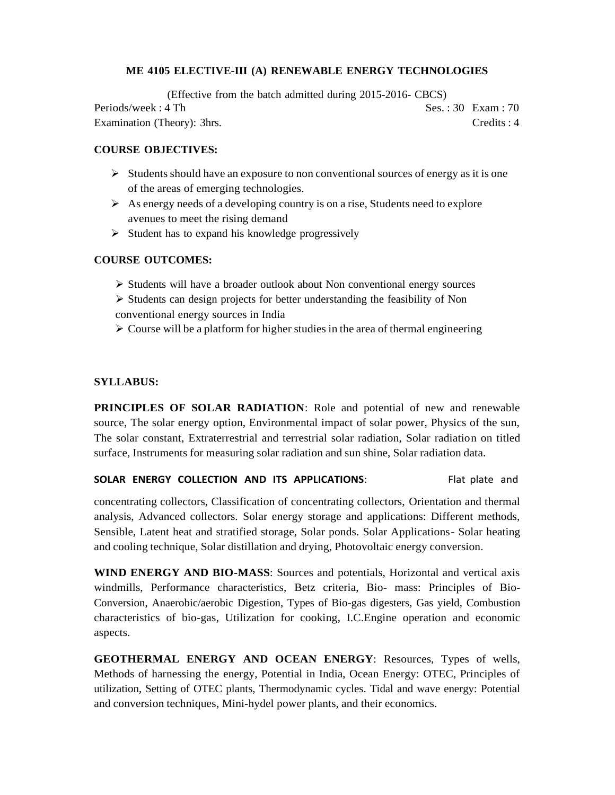### **ME 4105 ELECTIVE-III (A) RENEWABLE ENERGY TECHNOLOGIES**

(Effective from the batch admitted during 2015-2016- CBCS) Periods/week : 4 Th Ses. : 30 Exam : 70 Examination (Theory): 3hrs. Credits : 4

### **COURSE OBJECTIVES:**

- $\triangleright$  Students should have an exposure to non conventional sources of energy as it is one of the areas of emerging technologies.
- $\triangleright$  As energy needs of a developing country is on a rise, Students need to explore avenues to meet the rising demand
- $\triangleright$  Student has to expand his knowledge progressively

### **COURSE OUTCOMES:**

- ➢ Students will have a broader outlook about Non conventional energy sources
- ➢ Students can design projects for better understanding the feasibility of Non conventional energy sources in India
- $\triangleright$  Course will be a platform for higher studies in the area of thermal engineering

### **SYLLABUS:**

**PRINCIPLES OF SOLAR RADIATION**: Role and potential of new and renewable source, The solar energy option, Environmental impact of solar power, Physics of the sun, The solar constant, Extraterrestrial and terrestrial solar radiation, Solar radiation on titled surface, Instruments for measuring solar radiation and sun shine, Solar radiation data.

### **SOLAR ENERGY COLLECTION AND ITS APPLICATIONS:** Flat plate and

concentrating collectors, Classification of concentrating collectors, Orientation and thermal analysis, Advanced collectors. Solar energy storage and applications: Different methods, Sensible, Latent heat and stratified storage, Solar ponds. Solar Applications- Solar heating and cooling technique, Solar distillation and drying, Photovoltaic energy conversion.

**WIND ENERGY AND BIO-MASS**: Sources and potentials, Horizontal and vertical axis windmills, Performance characteristics, Betz criteria, Bio- mass: Principles of Bio-Conversion, Anaerobic/aerobic Digestion, Types of Bio-gas digesters, Gas yield, Combustion characteristics of bio-gas, Utilization for cooking, I.C.Engine operation and economic aspects.

**GEOTHERMAL ENERGY AND OCEAN ENERGY**: Resources, Types of wells, Methods of harnessing the energy, Potential in India, Ocean Energy: OTEC, Principles of utilization, Setting of OTEC plants, Thermodynamic cycles. Tidal and wave energy: Potential and conversion techniques, Mini-hydel power plants, and their economics.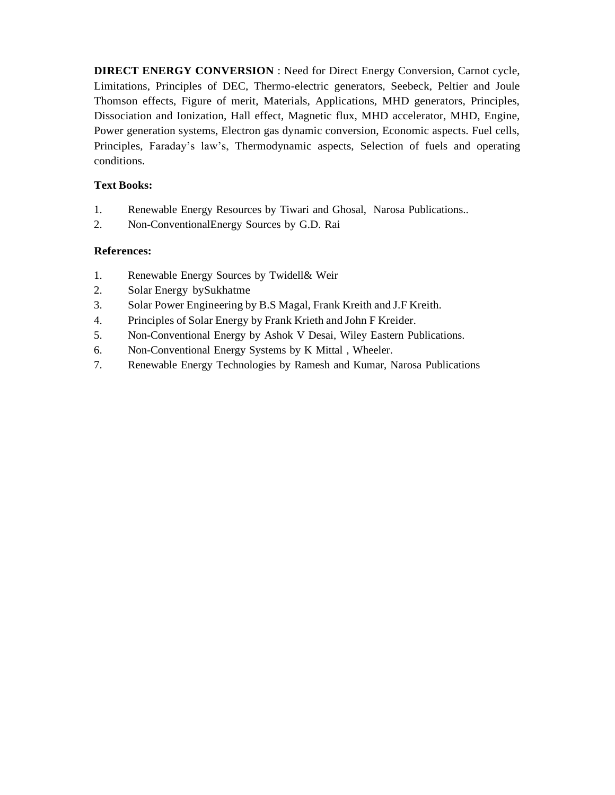**DIRECT ENERGY CONVERSION** : Need for Direct Energy Conversion, Carnot cycle, Limitations, Principles of DEC, Thermo-electric generators, Seebeck, Peltier and Joule Thomson effects, Figure of merit, Materials, Applications, MHD generators, Principles, Dissociation and Ionization, Hall effect, Magnetic flux, MHD accelerator, MHD, Engine, Power generation systems, Electron gas dynamic conversion, Economic aspects. Fuel cells, Principles, Faraday's law's, Thermodynamic aspects, Selection of fuels and operating conditions.

# **Text Books:**

- 1. Renewable Energy Resources by Tiwari and Ghosal, Narosa Publications..
- 2. Non-ConventionalEnergy Sources by G.D. Rai

- 1. Renewable Energy Sources by Twidell& Weir
- 2. Solar Energy bySukhatme
- 3. Solar Power Engineering by B.S Magal, Frank Kreith and J.F Kreith.
- 4. Principles of Solar Energy by Frank Krieth and John F Kreider.
- 5. Non-Conventional Energy by Ashok V Desai, Wiley Eastern Publications.
- 6. Non-Conventional Energy Systems by K Mittal , Wheeler.
- 7. Renewable Energy Technologies by Ramesh and Kumar, Narosa Publications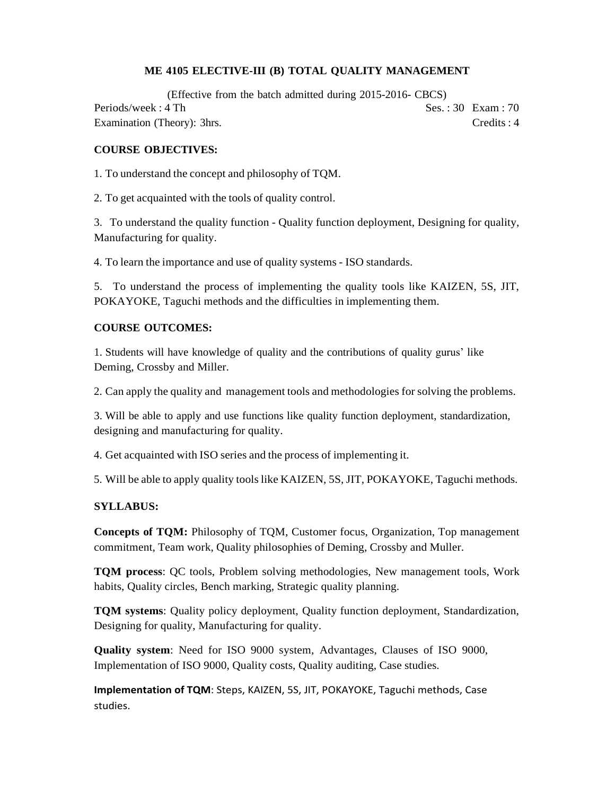## **ME 4105 ELECTIVE-III (B) TOTAL QUALITY MANAGEMENT**

(Effective from the batch admitted during 2015-2016- CBCS) Periods/week : 4 Th Ses. : 30 Exam : 70 Examination (Theory): 3hrs. Credits : 4

## **COURSE OBJECTIVES:**

1. To understand the concept and philosophy of TQM.

2. To get acquainted with the tools of quality control.

3. To understand the quality function - Quality function deployment, Designing for quality, Manufacturing for quality.

4. To learn the importance and use of quality systems - ISO standards.

5. To understand the process of implementing the quality tools like KAIZEN, 5S, JIT, POKAYOKE, Taguchi methods and the difficulties in implementing them.

### **COURSE OUTCOMES:**

1. Students will have knowledge of quality and the contributions of quality gurus' like Deming, Crossby and Miller.

2. Can apply the quality and management tools and methodologies for solving the problems.

3. Will be able to apply and use functions like quality function deployment, standardization, designing and manufacturing for quality.

4. Get acquainted with ISO series and the process of implementing it.

5. Will be able to apply quality tools like KAIZEN, 5S, JIT, POKAYOKE, Taguchi methods.

## **SYLLABUS:**

**Concepts of TQM:** Philosophy of TQM, Customer focus, Organization, Top management commitment, Team work, Quality philosophies of Deming, Crossby and Muller.

**TQM process**: QC tools, Problem solving methodologies, New management tools, Work habits, Quality circles, Bench marking, Strategic quality planning.

**TQM systems**: Quality policy deployment, Quality function deployment, Standardization, Designing for quality, Manufacturing for quality.

**Quality system**: Need for ISO 9000 system, Advantages, Clauses of ISO 9000, Implementation of ISO 9000, Quality costs, Quality auditing, Case studies.

**Implementation of TQM**: Steps, KAIZEN, 5S, JIT, POKAYOKE, Taguchi methods, Case studies.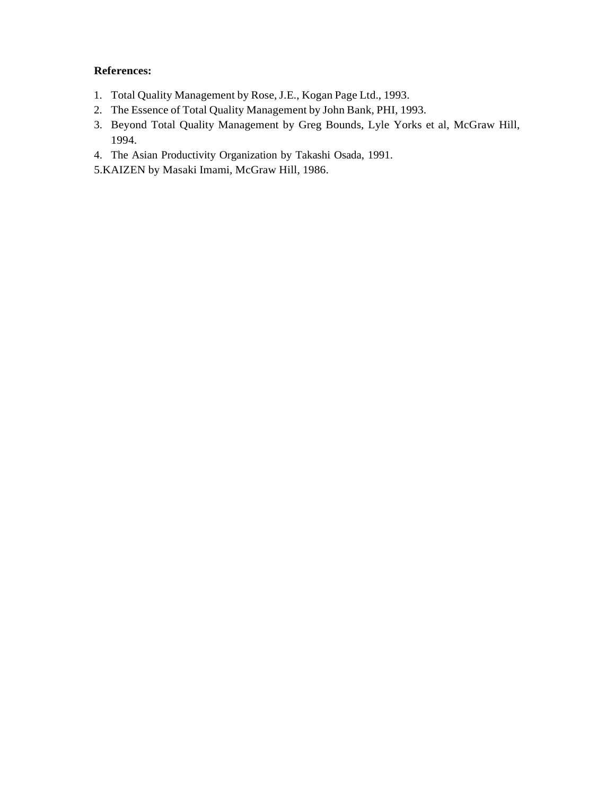- 1. Total Quality Management by Rose, J.E., Kogan Page Ltd., 1993.
- 2. The Essence of Total Quality Management by John Bank, PHI, 1993.
- 3. Beyond Total Quality Management by Greg Bounds, Lyle Yorks et al, McGraw Hill, 1994.
- 4. The Asian Productivity Organization by Takashi Osada, 1991.
- 5.KAIZEN by Masaki Imami, McGraw Hill, 1986.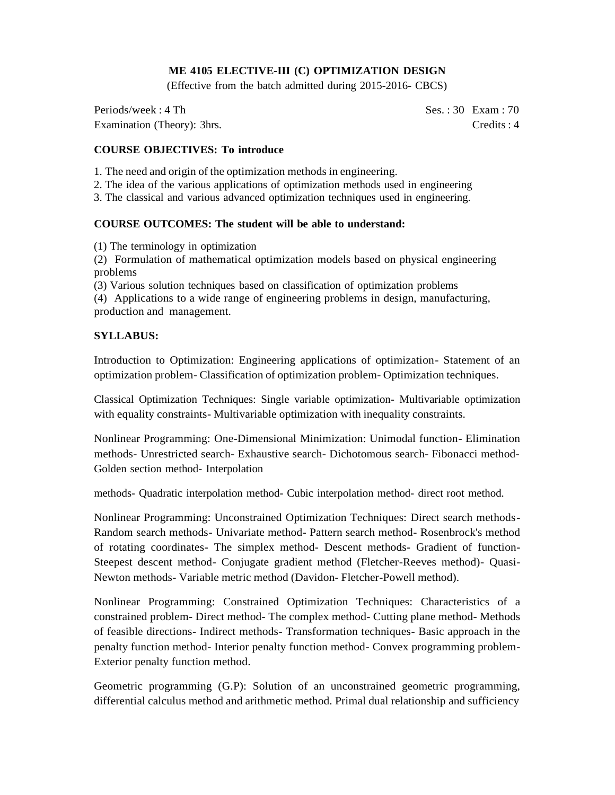## **ME 4105 ELECTIVE-III (C) OPTIMIZATION DESIGN**

(Effective from the batch admitted during 2015-2016- CBCS)

Periods/week : 4 Th Ses. : 30 Exam : 70 Examination (Theory): 3hrs. Credits : 4

### **COURSE OBJECTIVES: To introduce**

1. The need and origin of the optimization methods in engineering.

2. The idea of the various applications of optimization methods used in engineering

3. The classical and various advanced optimization techniques used in engineering.

### **COURSE OUTCOMES: The student will be able to understand:**

(1) The terminology in optimization

(2) Formulation of mathematical optimization models based on physical engineering problems

(3) Various solution techniques based on classification of optimization problems

(4) Applications to a wide range of engineering problems in design, manufacturing, production and management.

### **SYLLABUS:**

Introduction to Optimization: Engineering applications of optimization- Statement of an optimization problem- Classification of optimization problem- Optimization techniques.

Classical Optimization Techniques: Single variable optimization- Multivariable optimization with equality constraints- Multivariable optimization with inequality constraints.

Nonlinear Programming: One-Dimensional Minimization: Unimodal function- Elimination methods- Unrestricted search- Exhaustive search- Dichotomous search- Fibonacci method-Golden section method- Interpolation

methods- Quadratic interpolation method- Cubic interpolation method- direct root method.

Nonlinear Programming: Unconstrained Optimization Techniques: Direct search methods-Random search methods- Univariate method- Pattern search method- Rosenbrock's method of rotating coordinates- The simplex method- Descent methods- Gradient of function-Steepest descent method- Conjugate gradient method (Fletcher-Reeves method)- Quasi-Newton methods- Variable metric method (Davidon- Fletcher-Powell method).

Nonlinear Programming: Constrained Optimization Techniques: Characteristics of a constrained problem- Direct method- The complex method- Cutting plane method- Methods of feasible directions- Indirect methods- Transformation techniques- Basic approach in the penalty function method- Interior penalty function method- Convex programming problem-Exterior penalty function method.

Geometric programming (G.P): Solution of an unconstrained geometric programming, differential calculus method and arithmetic method. Primal dual relationship and sufficiency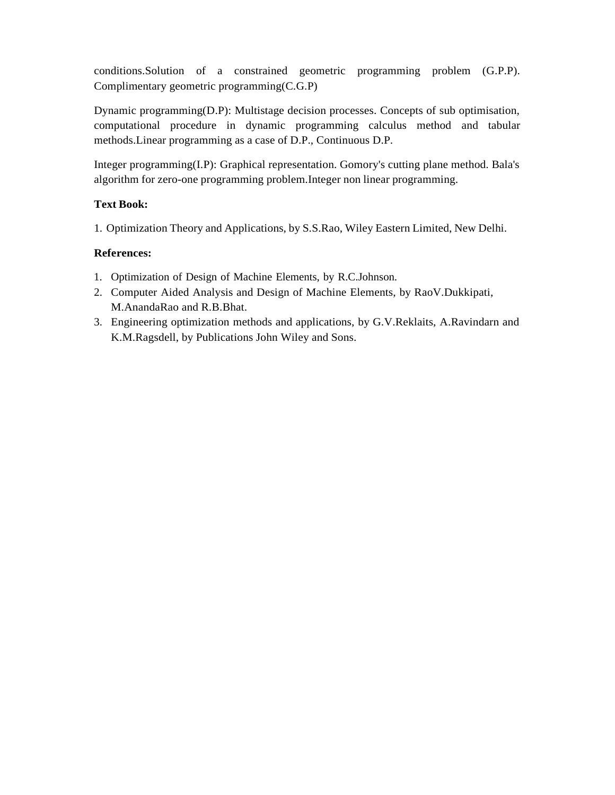conditions.Solution of a constrained geometric programming problem (G.P.P). Complimentary geometric programming(C.G.P)

Dynamic programming(D.P): Multistage decision processes. Concepts of sub optimisation, computational procedure in dynamic programming calculus method and tabular methods.Linear programming as a case of D.P., Continuous D.P.

Integer programming(I.P): Graphical representation. Gomory's cutting plane method. Bala's algorithm for zero-one programming problem.Integer non linear programming.

## **Text Book:**

1. Optimization Theory and Applications, by S.S.Rao, Wiley Eastern Limited, New Delhi.

- 1. Optimization of Design of Machine Elements, by R.C.Johnson.
- 2. Computer Aided Analysis and Design of Machine Elements, by RaoV.Dukkipati, M.AnandaRao and R.B.Bhat.
- 3. Engineering optimization methods and applications, by G.V.Reklaits, A.Ravindarn and K.M.Ragsdell, by Publications John Wiley and Sons.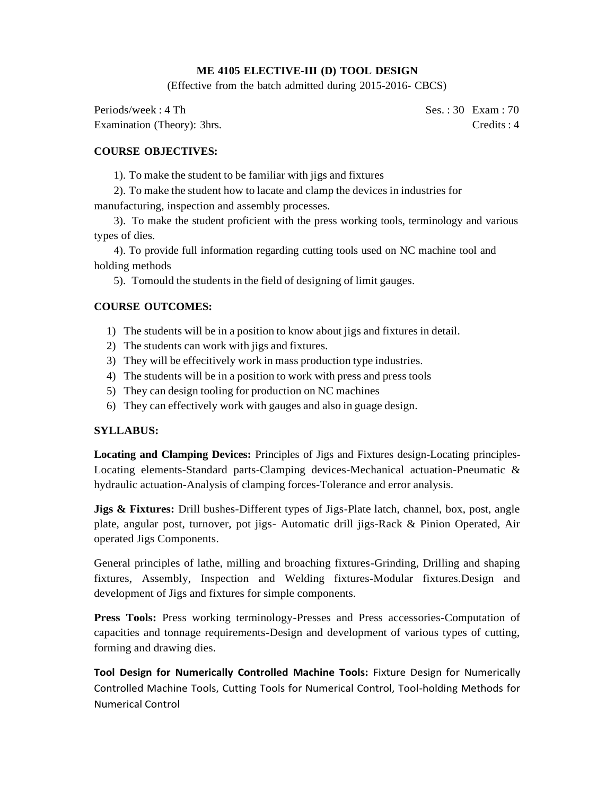## **ME 4105 ELECTIVE-III (D) TOOL DESIGN**

(Effective from the batch admitted during 2015-2016- CBCS)

Periods/week : 4 Th Ses. : 30 Exam : 70 Examination (Theory): 3hrs. Credits : 4

## **COURSE OBJECTIVES:**

1). To make the student to be familiar with jigs and fixtures

2). To make the student how to lacate and clamp the devices in industries for manufacturing, inspection and assembly processes.

3). To make the student proficient with the press working tools, terminology and various types of dies.

4). To provide full information regarding cutting tools used on NC machine tool and holding methods

5). Tomould the students in the field of designing of limit gauges.

### **COURSE OUTCOMES:**

- 1) The students will be in a position to know about jigs and fixtures in detail.
- 2) The students can work with jigs and fixtures.
- 3) They will be effecitively work in mass production type industries.
- 4) The students will be in a position to work with press and press tools
- 5) They can design tooling for production on NC machines
- 6) They can effectively work with gauges and also in guage design.

#### **SYLLABUS:**

**Locating and Clamping Devices:** Principles of Jigs and Fixtures design-Locating principles-Locating elements-Standard parts-Clamping devices-Mechanical actuation-Pneumatic & hydraulic actuation-Analysis of clamping forces-Tolerance and error analysis.

**Jigs & Fixtures:** Drill bushes-Different types of Jigs-Plate latch, channel, box, post, angle plate, angular post, turnover, pot jigs- Automatic drill jigs-Rack & Pinion Operated, Air operated Jigs Components.

General principles of lathe, milling and broaching fixtures-Grinding, Drilling and shaping fixtures, Assembly, Inspection and Welding fixtures-Modular fixtures.Design and development of Jigs and fixtures for simple components.

**Press Tools:** Press working terminology-Presses and Press accessories-Computation of capacities and tonnage requirements-Design and development of various types of cutting, forming and drawing dies.

**Tool Design for Numerically Controlled Machine Tools:** Fixture Design for Numerically Controlled Machine Tools, Cutting Tools for Numerical Control, Tool-holding Methods for Numerical Control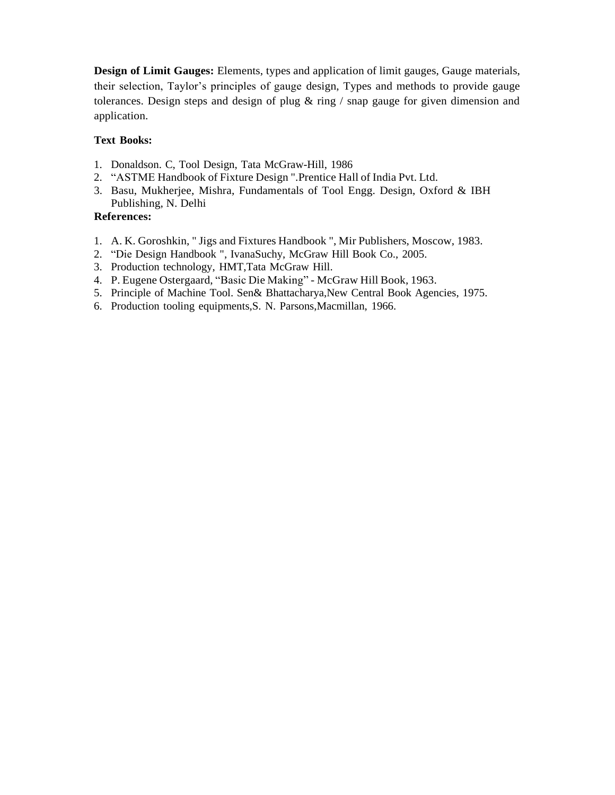**Design of Limit Gauges:** Elements, types and application of limit gauges, Gauge materials, their selection, Taylor's principles of gauge design, Types and methods to provide gauge tolerances. Design steps and design of plug  $\&$  ring / snap gauge for given dimension and application.

## **Text Books:**

- 1. Donaldson. C, Tool Design, Tata McGraw-Hill, 1986
- 2. "ASTME Handbook of Fixture Design ".Prentice Hall of India Pvt. Ltd.
- 3. Basu, Mukherjee, Mishra, Fundamentals of Tool Engg. Design, Oxford & IBH Publishing, N. Delhi

- 1. A. K. Goroshkin, " Jigs and Fixtures Handbook ", Mir Publishers, Moscow, 1983.
- 2. "Die Design Handbook ", IvanaSuchy, McGraw Hill Book Co., 2005.
- 3. Production technology, HMT,Tata McGraw Hill.
- 4. P. Eugene Ostergaard, "Basic Die Making" McGraw Hill Book, 1963.
- 5. Principle of Machine Tool. Sen& Bhattacharya,New Central Book Agencies, 1975.
- 6. Production tooling equipments,S. N. Parsons,Macmillan, 1966.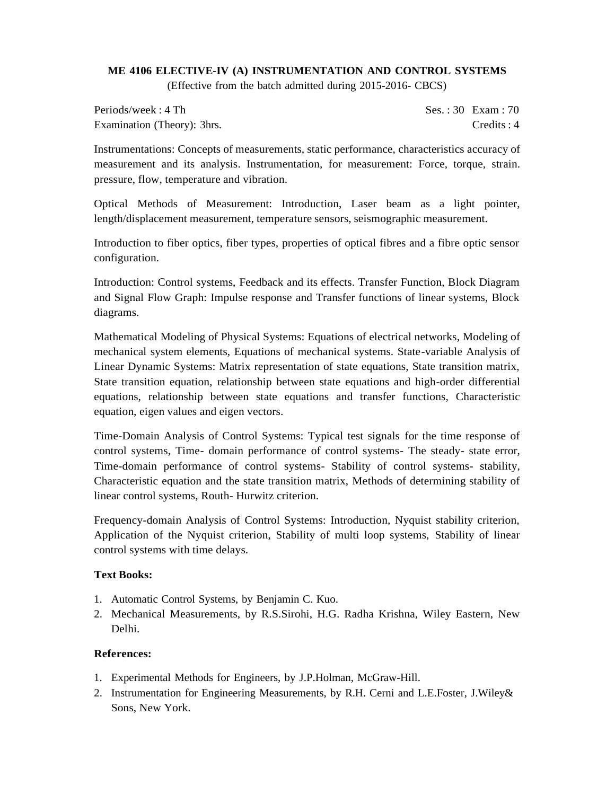## **ME 4106 ELECTIVE-IV (A) INSTRUMENTATION AND CONTROL SYSTEMS** (Effective from the batch admitted during 2015-2016- CBCS)

Periods/week : 4 Th Ses. : 30 Exam : 70 Examination (Theory): 3hrs. Credits : 4

Instrumentations: Concepts of measurements, static performance, characteristics accuracy of measurement and its analysis. Instrumentation, for measurement: Force, torque, strain. pressure, flow, temperature and vibration.

Optical Methods of Measurement: Introduction, Laser beam as a light pointer, length/displacement measurement, temperature sensors, seismographic measurement.

Introduction to fiber optics, fiber types, properties of optical fibres and a fibre optic sensor configuration.

Introduction: Control systems, Feedback and its effects. Transfer Function, Block Diagram and Signal Flow Graph: Impulse response and Transfer functions of linear systems, Block diagrams.

Mathematical Modeling of Physical Systems: Equations of electrical networks, Modeling of mechanical system elements, Equations of mechanical systems. State-variable Analysis of Linear Dynamic Systems: Matrix representation of state equations, State transition matrix, State transition equation, relationship between state equations and high-order differential equations, relationship between state equations and transfer functions, Characteristic equation, eigen values and eigen vectors.

Time-Domain Analysis of Control Systems: Typical test signals for the time response of control systems, Time- domain performance of control systems- The steady- state error, Time-domain performance of control systems- Stability of control systems- stability, Characteristic equation and the state transition matrix, Methods of determining stability of linear control systems, Routh- Hurwitz criterion.

Frequency-domain Analysis of Control Systems: Introduction, Nyquist stability criterion, Application of the Nyquist criterion, Stability of multi loop systems, Stability of linear control systems with time delays.

### **Text Books:**

- 1. Automatic Control Systems, by Benjamin C. Kuo.
- 2. Mechanical Measurements, by R.S.Sirohi, H.G. Radha Krishna, Wiley Eastern, New Delhi.

- 1. Experimental Methods for Engineers, by J.P.Holman, McGraw-Hill.
- 2. Instrumentation for Engineering Measurements, by R.H. Cerni and L.E.Foster, J.Wiley& Sons, New York.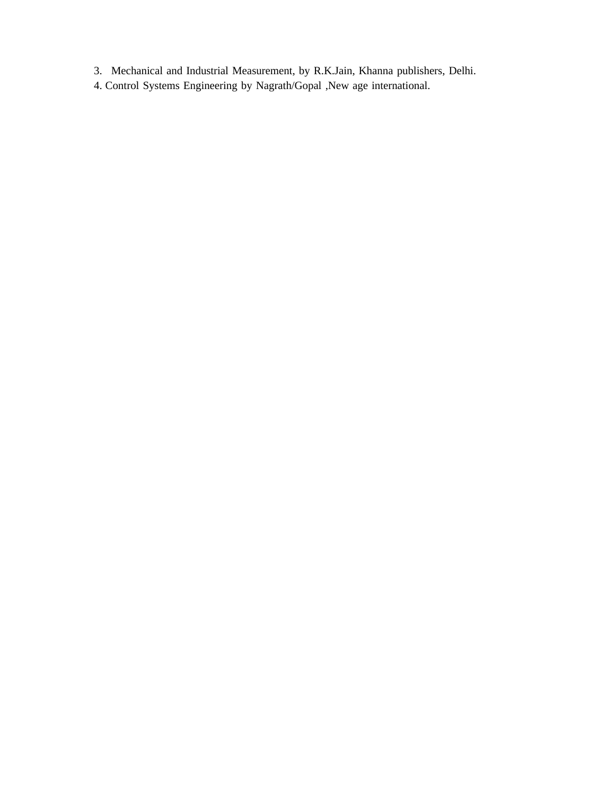- 3. Mechanical and Industrial Measurement, by R.K.Jain, Khanna publishers, Delhi.
- 4. Control Systems Engineering by Nagrath/Gopal ,New age international.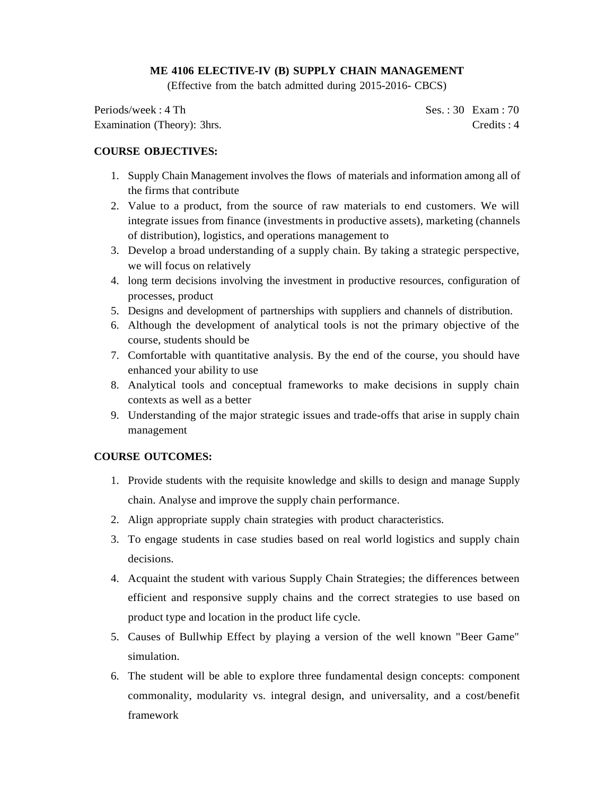## **ME 4106 ELECTIVE-IV (B) SUPPLY CHAIN MANAGEMENT**

(Effective from the batch admitted during 2015-2016- CBCS)

Periods/week : 4 Th Ses. : 30 Exam : 70 Examination (Theory): 3hrs. Credits : 4

## **COURSE OBJECTIVES:**

- 1. Supply Chain Management involves the flows of materials and information among all of the firms that contribute
- 2. Value to a product, from the source of raw materials to end customers. We will integrate issues from finance (investments in productive assets), marketing (channels of distribution), logistics, and operations management to
- 3. Develop a broad understanding of a supply chain. By taking a strategic perspective, we will focus on relatively
- 4. long term decisions involving the investment in productive resources, configuration of processes, product
- 5. Designs and development of partnerships with suppliers and channels of distribution.
- 6. Although the development of analytical tools is not the primary objective of the course, students should be
- 7. Comfortable with quantitative analysis. By the end of the course, you should have enhanced your ability to use
- 8. Analytical tools and conceptual frameworks to make decisions in supply chain contexts as well as a better
- 9. Understanding of the major strategic issues and trade-offs that arise in supply chain management

### **COURSE OUTCOMES:**

- 1. Provide students with the requisite knowledge and skills to design and manage Supply chain. Analyse and improve the supply chain performance.
- 2. Align appropriate supply chain strategies with product characteristics.
- 3. To engage students in case studies based on real world logistics and supply chain decisions.
- 4. Acquaint the student with various Supply Chain Strategies; the differences between efficient and responsive supply chains and the correct strategies to use based on product type and location in the product life cycle.
- 5. Causes of Bullwhip Effect by playing a version of the well known "Beer Game" simulation.
- 6. The student will be able to explore three fundamental design concepts: component commonality, modularity vs. integral design, and universality, and a cost/benefit framework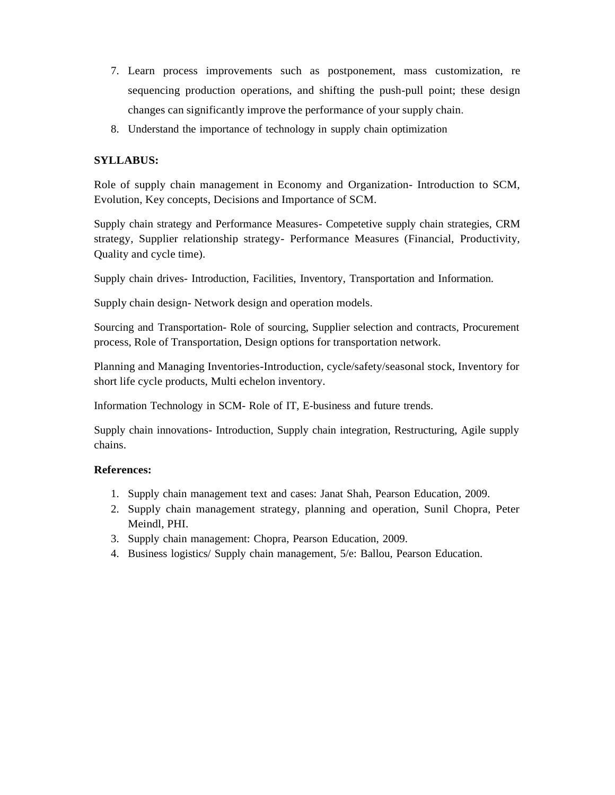- 7. Learn process improvements such as postponement, mass customization, re sequencing production operations, and shifting the push-pull point; these design changes can significantly improve the performance of your supply chain.
- 8. Understand the importance of technology in supply chain optimization

## **SYLLABUS:**

Role of supply chain management in Economy and Organization- Introduction to SCM, Evolution, Key concepts, Decisions and Importance of SCM.

Supply chain strategy and Performance Measures- Competetive supply chain strategies, CRM strategy, Supplier relationship strategy- Performance Measures (Financial, Productivity, Quality and cycle time).

Supply chain drives- Introduction, Facilities, Inventory, Transportation and Information.

Supply chain design- Network design and operation models.

Sourcing and Transportation- Role of sourcing, Supplier selection and contracts, Procurement process, Role of Transportation, Design options for transportation network.

Planning and Managing Inventories-Introduction, cycle/safety/seasonal stock, Inventory for short life cycle products, Multi echelon inventory.

Information Technology in SCM- Role of IT, E-business and future trends.

Supply chain innovations- Introduction, Supply chain integration, Restructuring, Agile supply chains.

- 1. Supply chain management text and cases: Janat Shah, Pearson Education, 2009.
- 2. Supply chain management strategy, planning and operation, Sunil Chopra, Peter Meindl, PHI.
- 3. Supply chain management: Chopra, Pearson Education, 2009.
- 4. Business logistics/ Supply chain management, 5/e: Ballou, Pearson Education.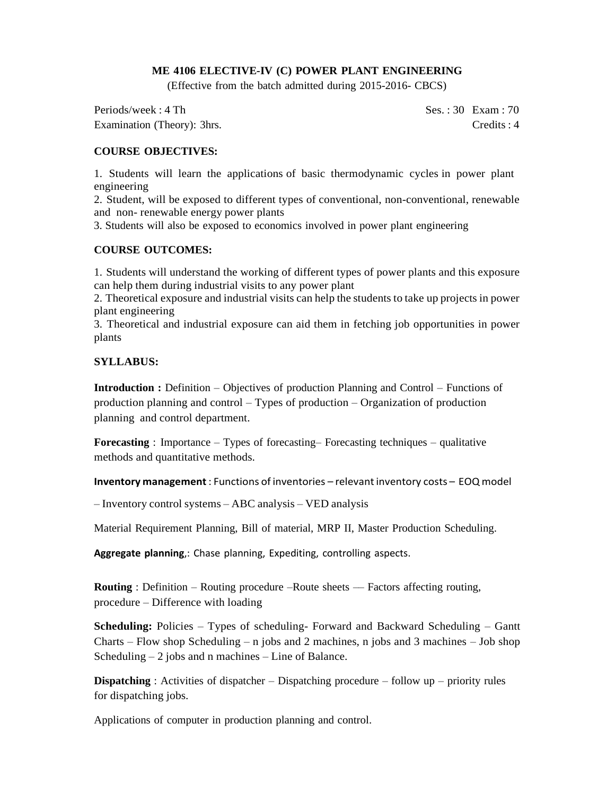### **ME 4106 ELECTIVE-IV (C) POWER PLANT ENGINEERING**

(Effective from the batch admitted during 2015-2016- CBCS)

Periods/week : 4 Th Ses. : 30 Exam : 70 Examination (Theory): 3hrs. Credits : 4

## **COURSE OBJECTIVES:**

1. Students will learn the applications of basic thermodynamic cycles in power plant engineering

2. Student, will be exposed to different types of conventional, non-conventional, renewable and non- renewable energy power plants

3. Students will also be exposed to economics involved in power plant engineering

### **COURSE OUTCOMES:**

1. Students will understand the working of different types of power plants and this exposure can help them during industrial visits to any power plant

2. Theoretical exposure and industrial visits can help the students to take up projects in power plant engineering

3. Theoretical and industrial exposure can aid them in fetching job opportunities in power plants

### **SYLLABUS:**

**Introduction :** Definition – Objectives of production Planning and Control – Functions of production planning and control – Types of production – Organization of production planning and control department.

**Forecasting** : Importance – Types of forecasting– Forecasting techniques – qualitative methods and quantitative methods.

**Inventory management**: Functions of inventories – relevantinventory costs – EOQ model

– Inventory control systems – ABC analysis – VED analysis

Material Requirement Planning, Bill of material, MRP II, Master Production Scheduling.

**Aggregate planning**,: Chase planning, Expediting, controlling aspects.

**Routing** : Definition – Routing procedure –Route sheets — Factors affecting routing, procedure – Difference with loading

**Scheduling:** Policies – Types of scheduling- Forward and Backward Scheduling – Gantt Charts – Flow shop Scheduling – n jobs and 2 machines, n jobs and 3 machines – Job shop Scheduling  $-2$  jobs and n machines  $-$  Line of Balance.

**Dispatching** : Activities of dispatcher – Dispatching procedure – follow up – priority rules for dispatching jobs.

Applications of computer in production planning and control.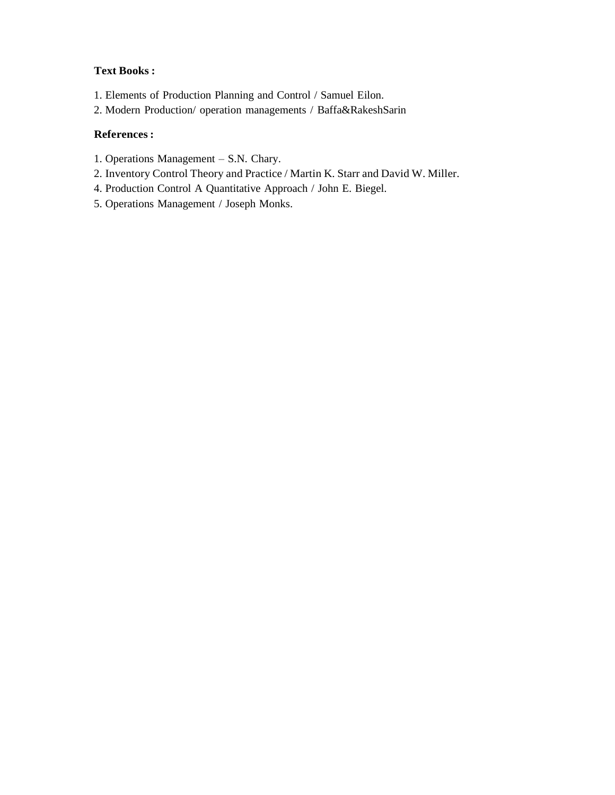## **Text Books :**

- 1. Elements of Production Planning and Control / Samuel Eilon.
- 2. Modern Production/ operation managements / Baffa&RakeshSarin

- 1. Operations Management S.N. Chary.
- 2. Inventory Control Theory and Practice / Martin K. Starr and David W. Miller.
- 4. Production Control A Quantitative Approach / John E. Biegel.
- 5. Operations Management / Joseph Monks.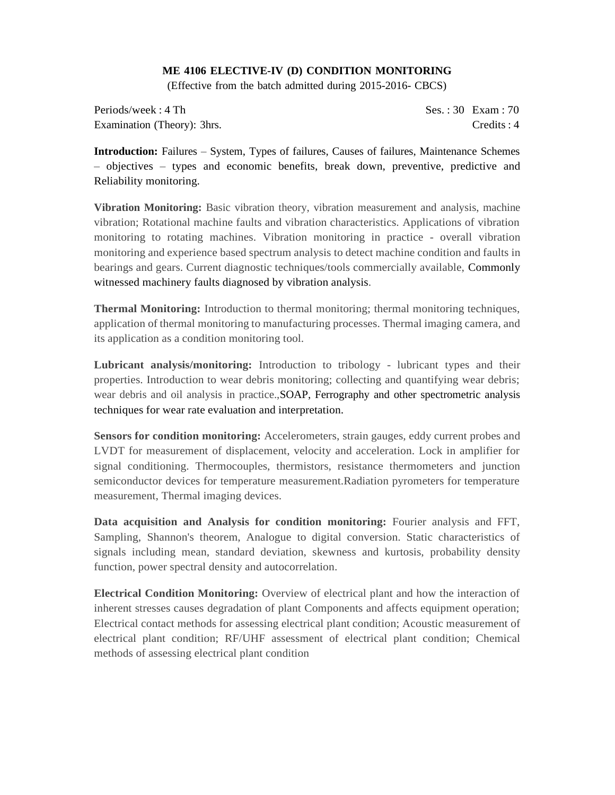### **ME 4106 ELECTIVE-IV (D) CONDITION MONITORING**

(Effective from the batch admitted during 2015-2016- CBCS)

Periods/week : 4 Th Ses. : 30 Exam : 70 Examination (Theory): 3hrs. Credits : 4

**Introduction:** Failures – System, Types of failures, Causes of failures, Maintenance Schemes – objectives – types and economic benefits, break down, preventive, predictive and Reliability monitoring.

**Vibration Monitoring:** Basic vibration theory, vibration measurement and analysis, machine vibration; Rotational machine faults and vibration characteristics. Applications of vibration monitoring to rotating machines. Vibration monitoring in practice - overall vibration monitoring and experience based spectrum analysis to detect machine condition and faults in bearings and gears. Current diagnostic techniques/tools commercially available, Commonly witnessed machinery faults diagnosed by vibration analysis.

**Thermal Monitoring:** Introduction to thermal monitoring; thermal monitoring techniques, application of thermal monitoring to manufacturing processes. Thermal imaging camera, and its application as a condition monitoring tool.

**Lubricant analysis/monitoring:** Introduction to tribology - lubricant types and their properties. Introduction to wear debris monitoring; collecting and quantifying wear debris; wear debris and oil analysis in practice.,SOAP, Ferrography and other spectrometric analysis techniques for wear rate evaluation and interpretation.

**Sensors for condition monitoring:** Accelerometers, strain gauges, eddy current probes and LVDT for measurement of displacement, velocity and acceleration. Lock in amplifier for signal conditioning. Thermocouples, thermistors, resistance thermometers and junction semiconductor devices for temperature measurement.Radiation pyrometers for temperature measurement, Thermal imaging devices.

**Data acquisition and Analysis for condition monitoring:** Fourier analysis and FFT, Sampling, Shannon's theorem, Analogue to digital conversion. Static characteristics of signals including mean, standard deviation, skewness and kurtosis, probability density function, power spectral density and autocorrelation.

**Electrical Condition Monitoring:** Overview of electrical plant and how the interaction of inherent stresses causes degradation of plant Components and affects equipment operation; Electrical contact methods for assessing electrical plant condition; Acoustic measurement of electrical plant condition; RF/UHF assessment of electrical plant condition; Chemical methods of assessing electrical plant condition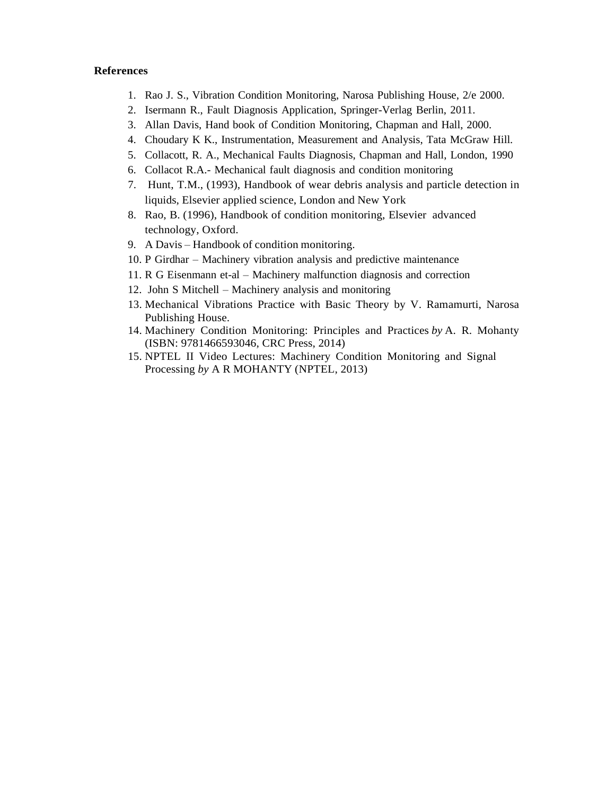- 1. Rao J. S., Vibration Condition Monitoring, Narosa Publishing House, 2/e 2000.
- 2. Isermann R., Fault Diagnosis Application, Springer-Verlag Berlin, 2011.
- 3. Allan Davis, Hand book of Condition Monitoring, Chapman and Hall, 2000.
- 4. Choudary K K., Instrumentation, Measurement and Analysis, Tata McGraw Hill.
- 5. Collacott, R. A., Mechanical Faults Diagnosis, Chapman and Hall, London, 1990
- 6. Collacot R.A.- Mechanical fault diagnosis and condition monitoring
- 7. Hunt, T.M., (1993), Handbook of wear debris analysis and particle detection in liquids, Elsevier applied science, London and New York
- 8. Rao, B. (1996), Handbook of condition monitoring, Elsevier advanced technology, Oxford.
- 9. A Davis Handbook of condition monitoring.
- 10. P Girdhar Machinery vibration analysis and predictive maintenance
- 11. R G Eisenmann et-al Machinery malfunction diagnosis and correction
- 12. John S Mitchell Machinery analysis and monitoring
- 13. Mechanical Vibrations Practice with Basic Theory by V. Ramamurti, Narosa Publishing House.
- 14. Machinery Condition Monitoring: Principles and Practices *by* A. R. Mohanty (ISBN: 9781466593046, CRC Press, 2014)
- 15. NPTEL II Video Lectures: Machinery Condition Monitoring and Signal Processing *by* A R MOHANTY (NPTEL, 2013)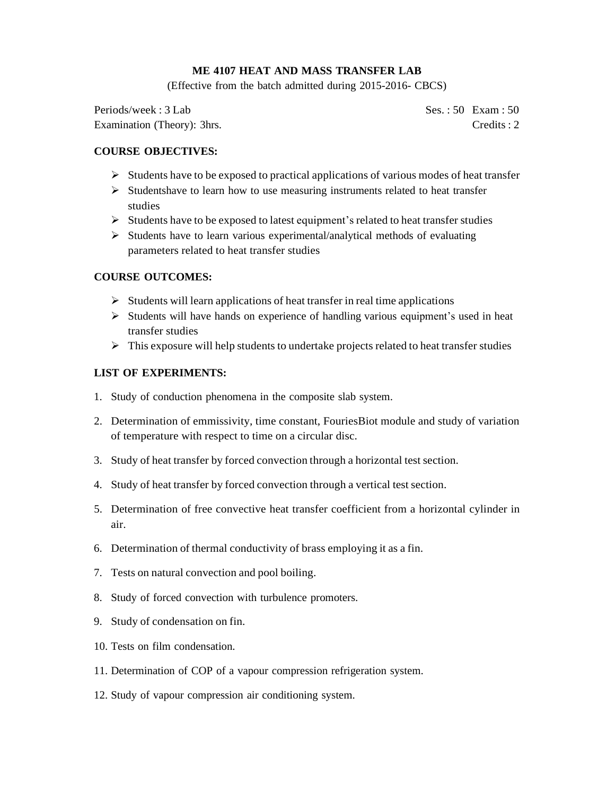## **ME 4107 HEAT AND MASS TRANSFER LAB**

(Effective from the batch admitted during 2015-2016- CBCS)

Periods/week : 3 Lab Ses. : 50 Exam : 50 Examination (Theory): 3hrs. Credits : 2

## **COURSE OBJECTIVES:**

- $\triangleright$  Students have to be exposed to practical applications of various modes of heat transfer
- $\triangleright$  Studentshave to learn how to use measuring instruments related to heat transfer studies
- ➢ Students have to be exposed to latest equipment's related to heat transfer studies
- $\triangleright$  Students have to learn various experimental/analytical methods of evaluating parameters related to heat transfer studies

## **COURSE OUTCOMES:**

- $\triangleright$  Students will learn applications of heat transfer in real time applications
- $\triangleright$  Students will have hands on experience of handling various equipment's used in heat transfer studies
- $\triangleright$  This exposure will help students to undertake projects related to heat transfer studies

## **LIST OF EXPERIMENTS:**

- 1. Study of conduction phenomena in the composite slab system.
- 2. Determination of emmissivity, time constant, FouriesBiot module and study of variation of temperature with respect to time on a circular disc.
- 3. Study of heat transfer by forced convection through a horizontal test section.
- 4. Study of heat transfer by forced convection through a vertical test section.
- 5. Determination of free convective heat transfer coefficient from a horizontal cylinder in air.
- 6. Determination of thermal conductivity of brass employing it as a fin.
- 7. Tests on natural convection and pool boiling.
- 8. Study of forced convection with turbulence promoters.
- 9. Study of condensation on fin.
- 10. Tests on film condensation.
- 11. Determination of COP of a vapour compression refrigeration system.
- 12. Study of vapour compression air conditioning system.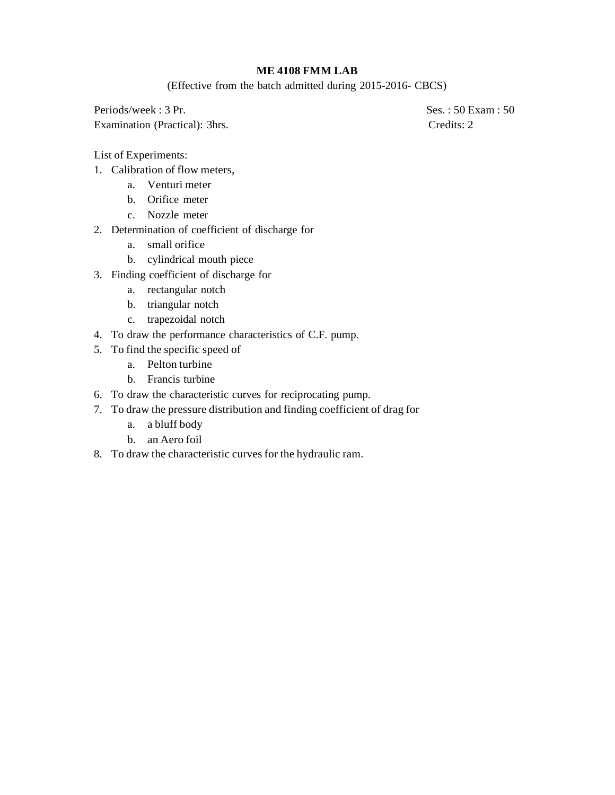## **ME 4108 FMM LAB**

(Effective from the batch admitted during 2015-2016- CBCS)

Periods/week : 3 Pr. Ses. : 50 Exam : 50 Examination (Practical): 3hrs. Credits: 2

List of Experiments:

- 1. Calibration of flow meters,
	- a. Venturi meter
	- b. Orifice meter
	- c. Nozzle meter
- 2. Determination of coefficient of discharge for
	- a. small orifice
	- b. cylindrical mouth piece
- 3. Finding coefficient of discharge for
	- a. rectangular notch
	- b. triangular notch
	- c. trapezoidal notch
- 4. To draw the performance characteristics of C.F. pump.
- 5. To find the specific speed of
	- a. Pelton turbine
	- b. Francis turbine
- 6. To draw the characteristic curves for reciprocating pump.
- 7. To draw the pressure distribution and finding coefficient of drag for
	- a. a bluff body
	- b. an Aero foil
- 8. To draw the characteristic curves for the hydraulic ram.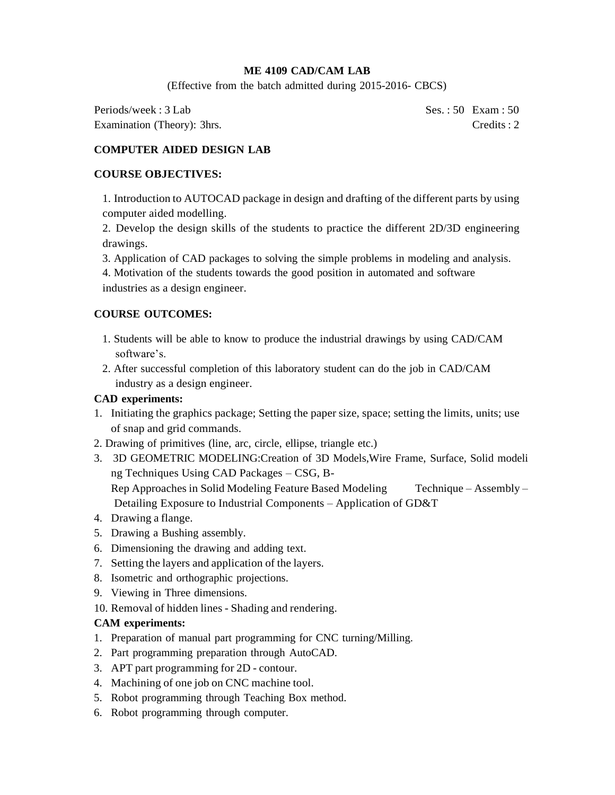## **ME 4109 CAD/CAM LAB**

(Effective from the batch admitted during 2015-2016- CBCS)

Periods/week : 3 Lab Ses. : 50 Exam : 50 Examination (Theory): 3hrs. Credits : 2

# **COMPUTER AIDED DESIGN LAB**

## **COURSE OBJECTIVES:**

1. Introduction to AUTOCAD package in design and drafting of the different parts by using computer aided modelling.

2. Develop the design skills of the students to practice the different 2D/3D engineering drawings.

- 3. Application of CAD packages to solving the simple problems in modeling and analysis.
- 4. Motivation of the students towards the good position in automated and software industries as a design engineer.

## **COURSE OUTCOMES:**

- 1. Students will be able to know to produce the industrial drawings by using CAD/CAM software's.
- 2. After successful completion of this laboratory student can do the job in CAD/CAM industry as a design engineer.

## **CAD experiments:**

- 1. Initiating the graphics package; Setting the paper size, space; setting the limits, units; use of snap and grid commands.
- 2. Drawing of primitives (line, arc, circle, ellipse, triangle etc.)
- 3. 3D GEOMETRIC MODELING:Creation of 3D Models,Wire Frame, Surface, Solid modeli ng Techniques Using CAD Packages – CSG, B-Rep Approaches in Solid Modeling Feature Based Modeling Technique – Assembly – Detailing Exposure to Industrial Components – Application of GD&T
- 4. Drawing a flange.
- 5. Drawing a Bushing assembly.
- 6. Dimensioning the drawing and adding text.
- 7. Setting the layers and application of the layers.
- 8. Isometric and orthographic projections.
- 9. Viewing in Three dimensions.
- 10. Removal of hidden lines Shading and rendering.

## **CAM experiments:**

- 1. Preparation of manual part programming for CNC turning/Milling.
- 2. Part programming preparation through AutoCAD.
- 3. APT part programming for 2D contour.
- 4. Machining of one job on CNC machine tool.
- 5. Robot programming through Teaching Box method.
- 6. Robot programming through computer.